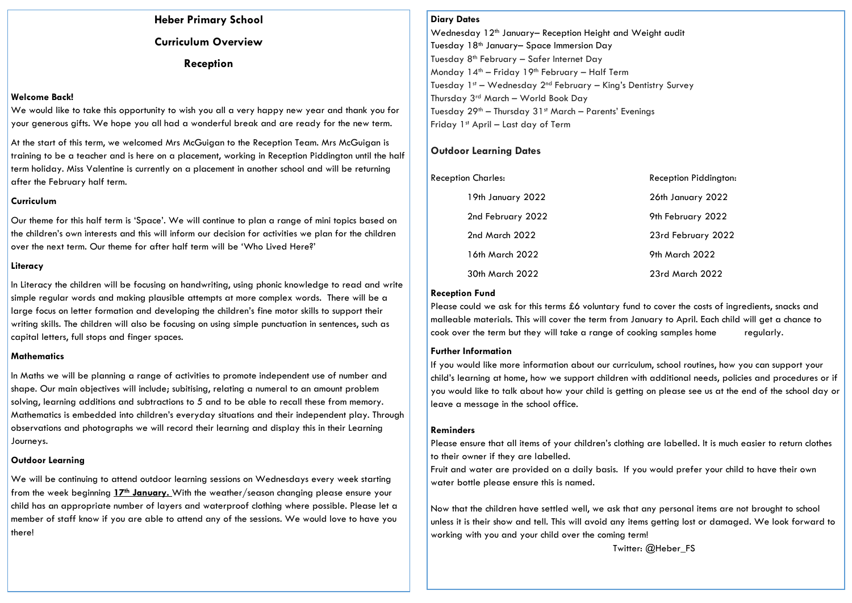**Heber Primary School Curriculum Overview Reception**

#### **Welcome Back!**

We would like to take this opportunity to wish you all a very happy new year and thank you for your generous gifts. We hope you all had a wonderful break and are ready for the new term.

At the start of this term, we welcomed Mrs McGuigan to the Reception Team. Mrs McGuigan is training to be a teacher and is here on a placement, working in Reception Piddington until the half term holiday. Miss Valentine is currently on a placement in another school and will be returning after the February half term.

#### **Curriculum**

Our theme for this half term is 'Space'. We will continue to plan a range of mini topics based on the children's own interests and this will inform our decision for activities we plan for the children over the next term. Our theme for after half term will be 'Who Lived Here?'

#### **Literacy**

In Literacy the children will be focusing on handwriting, using phonic knowledge to read and write simple regular words and making plausible attempts at more complex words. There will be a large focus on letter formation and developing the children's fine motor skills to support their writing skills. The children will also be focusing on using simple punctuation in sentences, such as capital letters, full stops and finger spaces.

#### **Mathematics**

In Maths we will be planning a range of activities to promote independent use of number and shape. Our main objectives will include; subitising, relating a numeral to an amount problem solving, learning additions and subtractions to 5 and to be able to recall these from memory. Mathematics is embedded into children's everyday situations and their independent play. Through observations and photographs we will record their learning and display this in their Learning Journeys.

#### **Outdoor Learning**

We will be continuing to attend outdoor learning sessions on Wednesdays every week starting from the week beginning **17th January.** With the weather/season changing please ensure your child has an appropriate number of layers and waterproof clothing where possible. Please let a member of staff know if you are able to attend any of the sessions. We would love to have you there!

#### **Diary Dates**

Wednesday 12th January– Reception Height and Weight audit Tuesday 18th January– Space Immersion Day Tuesday 8<sup>th</sup> February - Safer Internet Day Monday  $14<sup>th</sup>$  – Friday  $19<sup>th</sup>$  February – Half Term Tuesday 1st – Wednesday 2nd February – King's Dentistry Survey Thursday 3rd March – World Book Day Tuesday 29<sup>th</sup> – Thursday 31<sup>st</sup> March – Parents' Evenings Friday 1st April – Last day of Term

## **Outdoor Learning Dates**

| <b>Reception Charles:</b> | Reception Piddington: |
|---------------------------|-----------------------|
| 19th January 2022         | 26th January 2022     |
| 2nd February 2022         | 9th February 2022     |
| 2nd March 2022            | 23rd February 2022    |
| 16th March 2022           | 9th March 2022        |
| 30th March 2022           | 23rd March 2022       |

#### **Reception Fund**

Please could we ask for this terms £6 voluntary fund to cover the costs of ingredients, snacks and malleable materials. This will cover the term from January to April. Each child will get a chance to cook over the term but they will take a range of cooking samples home regularly.

#### **Further Information**

If you would like more information about our curriculum, school routines, how you can support your child's learning at home, how we support children with additional needs, policies and procedures or if you would like to talk about how your child is getting on please see us at the end of the school day or leave a message in the school office.

#### **Reminders**

Please ensure that all items of your children's clothing are labelled. It is much easier to return clothes to their owner if they are labelled.

Fruit and water are provided on a daily basis. If you would prefer your child to have their own water bottle please ensure this is named.

Now that the children have settled well, we ask that any personal items are not brought to school unless it is their show and tell. This will avoid any items getting lost or damaged. We look forward to working with you and your child over the coming term!

Twitter: @Heber\_FS